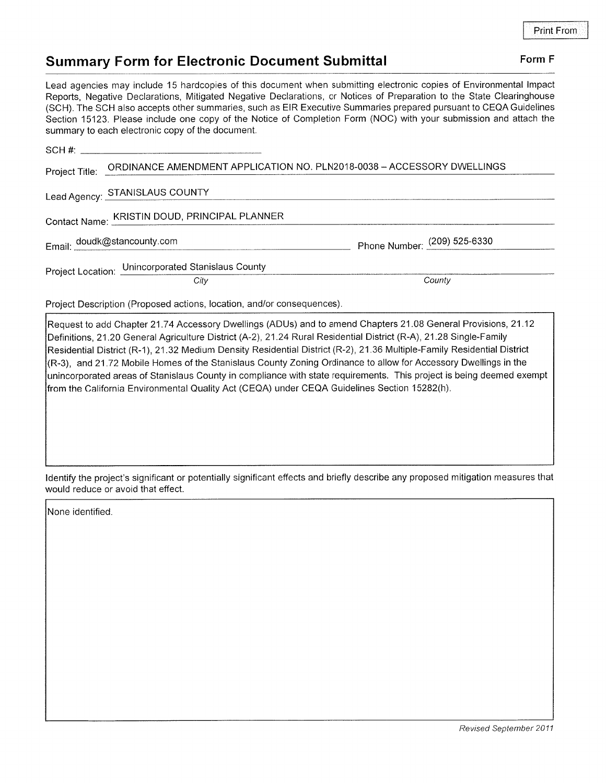## Summary Form for Electronic Document Submittal Form F

Lead agencies may include 15 hardcopies of this document when submitting electronic copies of Environmental lmpact Reports, Negative Declarations, Mitigated Negative Declarations, or Notices of Preparation to the State Clearinghouse (SCH). The SCH also accepts other summaries, such as EIR Executive Summaries prepared pursuant to CEQA Guidelines Section 15123. Please include one copy of the Notice of Completion Form (NOC) with your submission and attach the summary to each electronic copy of the document.

| Project Title: ORDINANCE AMENDMENT APPLICATION NO. PLN2018-0038 - ACCESSORY DWELLINGS |                              |
|---------------------------------------------------------------------------------------|------------------------------|
| Lead Agency: STANISLAUS COUNTY                                                        |                              |
| Contact Name: KRISTIN DOUD, PRINCIPAL PLANNER                                         |                              |
| Email: doudk@stancounty.com                                                           | Phone Number: (209) 525-6330 |
| Project Location: Unincorporated Stanislaus County                                    |                              |
| City                                                                                  | County                       |
| Project Description (Proposed actions, location, and/or consequences).                |                              |

Request to add Chapter 21.74 Accessory Dwellings (ADUs) and to amend Chapters 21.08 General Provisions, 21.12 Definitions, 21.20 General Agriculture District (A-2), 21.24 Rural Residential District (R-A), 21.28 Single-Family Residential District (R-1), 21.32 Medium Density Residential District (R-2), 21.36 Multiple-Family Residential District (R-3), and 21 .72 Mobile Homes of the Stanislaus County Zoning Ordinance to allow for Accessory Dwellings in the unincorporated areas of Stanislaus County in compliance with state requirements. This project is being deemed exempt from the California Environmental Quality Act (CEQA) under CEQA Guidelines Section 15282(h).

ldentify the project's significant or potentially significant effects and briefly describe any proposed mitigation measures that would reduce or avoid that effect.

None identified